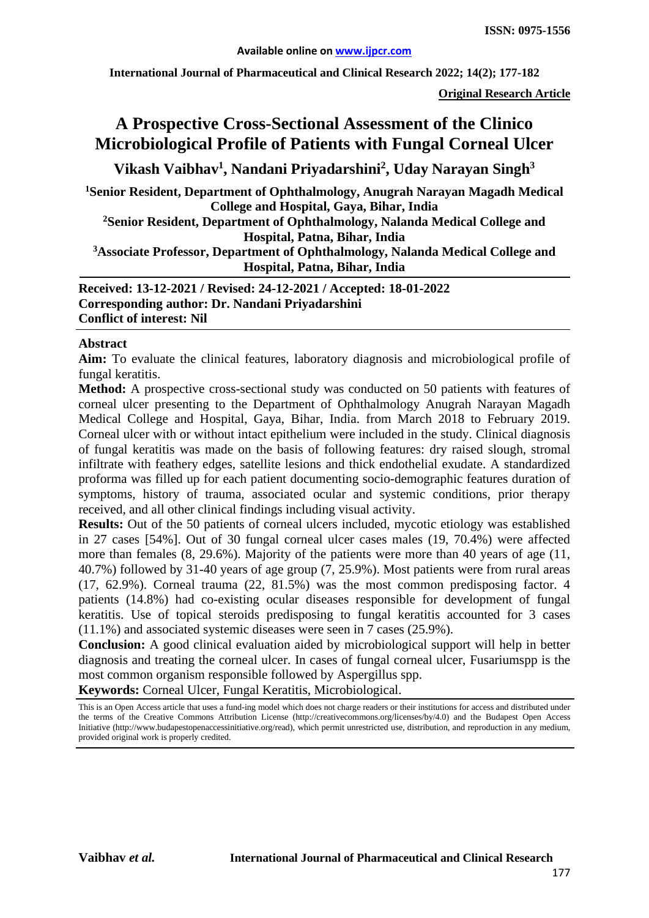**International Journal of Pharmaceutical and Clinical Research 2022; 14(2); 177-182**

**Original Research Article**

# **A Prospective Cross-Sectional Assessment of the Clinico Microbiological Profile of Patients with Fungal Corneal Ulcer**

**Vikash Vaibhav1 , Nandani Priyadarshini2 , Uday Narayan Singh3**

**1Senior Resident, Department of Ophthalmology, Anugrah Narayan Magadh Medical College and Hospital, Gaya, Bihar, India** 

**2 Senior Resident, Department of Ophthalmology, Nalanda Medical College and Hospital, Patna, Bihar, India**

**3 Associate Professor, Department of Ophthalmology, Nalanda Medical College and Hospital, Patna, Bihar, India**

**Received: 13-12-2021 / Revised: 24-12-2021 / Accepted: 18-01-2022 Corresponding author: Dr. Nandani Priyadarshini Conflict of interest: Nil**

#### **Abstract**

**Aim:** To evaluate the clinical features, laboratory diagnosis and microbiological profile of fungal keratitis.

**Method:** A prospective cross-sectional study was conducted on 50 patients with features of corneal ulcer presenting to the Department of Ophthalmology Anugrah Narayan Magadh Medical College and Hospital, Gaya, Bihar, India. from March 2018 to February 2019. Corneal ulcer with or without intact epithelium were included in the study. Clinical diagnosis of fungal keratitis was made on the basis of following features: dry raised slough, stromal infiltrate with feathery edges, satellite lesions and thick endothelial exudate. A standardized proforma was filled up for each patient documenting socio-demographic features duration of symptoms, history of trauma, associated ocular and systemic conditions, prior therapy received, and all other clinical findings including visual activity.

**Results:** Out of the 50 patients of corneal ulcers included, mycotic etiology was established in 27 cases [54%]. Out of 30 fungal corneal ulcer cases males (19, 70.4%) were affected more than females (8, 29.6%). Majority of the patients were more than 40 years of age (11, 40.7%) followed by 31-40 years of age group (7, 25.9%). Most patients were from rural areas (17, 62.9%). Corneal trauma (22, 81.5%) was the most common predisposing factor. 4 patients (14.8%) had co-existing ocular diseases responsible for development of fungal keratitis. Use of topical steroids predisposing to fungal keratitis accounted for 3 cases (11.1%) and associated systemic diseases were seen in 7 cases (25.9%).

**Conclusion:** A good clinical evaluation aided by microbiological support will help in better diagnosis and treating the corneal ulcer. In cases of fungal corneal ulcer, Fusariumspp is the most common organism responsible followed by Aspergillus spp.

**Keywords:** Corneal Ulcer, Fungal Keratitis, Microbiological.

This is an Open Access article that uses a fund-ing model which does not charge readers or their institutions for access and distributed under the terms of the Creative Commons Attribution License (http://creativecommons.org/licenses/by/4.0) and the Budapest Open Access Initiative (http://www.budapestopenaccessinitiative.org/read), which permit unrestricted use, distribution, and reproduction in any medium, provided original work is properly credited.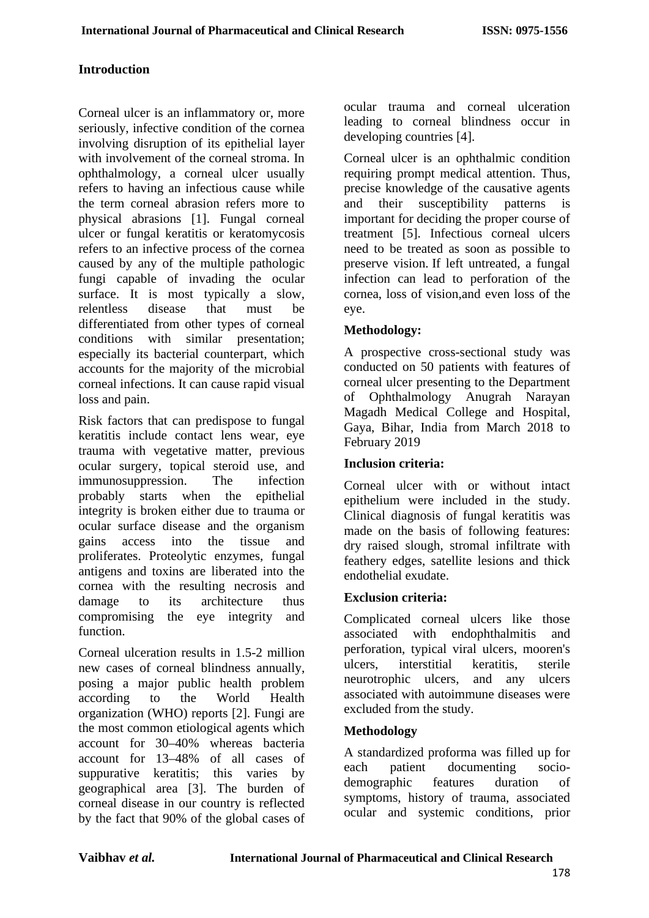#### **Introduction**

Corneal ulcer is an inflammatory or, more seriously, infective condition of the cornea involving disruption of its epithelial layer with involvement of the corneal stroma. In ophthalmology, a corneal ulcer usually refers to having an infectious cause while the term corneal abrasion refers more to physical abrasions [1]. Fungal corneal ulcer or fungal keratitis or keratomycosis refers to an infective process of the cornea caused by any of the multiple pathologic fungi capable of invading the ocular surface. It is most typically a slow,<br>relentless disease that must be relentless disease that must be differentiated from other types of corneal conditions with similar presentation; especially its bacterial counterpart, which accounts for the majority of the microbial corneal infections. It can cause rapid visual loss and pain.

Risk factors that can predispose to fungal keratitis include contact lens wear, eye trauma with vegetative matter, previous ocular surgery, topical steroid use, and immunosuppression. The infection probably starts when the epithelial integrity is broken either due to trauma or ocular surface disease and the organism gains access into the tissue and proliferates. Proteolytic enzymes, fungal antigens and toxins are liberated into the cornea with the resulting necrosis and damage to its architecture thus compromising the eye integrity and function.

Corneal ulceration results in 1.5-2 million new cases of corneal blindness annually, posing a major public health problem according to the World Health organization (WHO) reports [2]. Fungi are the most common etiological agents which account for 30–40% whereas bacteria account for 13–48% of all cases of suppurative keratitis; this varies by geographical area [3]. The burden of corneal disease in our country is reflected by the fact that 90% of the global cases of ocular trauma and corneal ulceration leading to corneal blindness occur in developing countries [4].

Corneal ulcer is an ophthalmic condition requiring prompt medical attention. Thus, precise knowledge of the causative agents and their susceptibility patterns is important for deciding the proper course of treatment [5]. Infectious corneal ulcers need to be treated as soon as possible to preserve vision. If left untreated, a fungal infection can lead to perforation of the cornea, loss of vision,and even loss of the eye.

### **Methodology:**

A prospective cross-sectional study was conducted on 50 patients with features of corneal ulcer presenting to the Department of Ophthalmology Anugrah Narayan Magadh Medical College and Hospital, Gaya, Bihar, India from March 2018 to February 2019

#### **Inclusion criteria:**

Corneal ulcer with or without intact epithelium were included in the study. Clinical diagnosis of fungal keratitis was made on the basis of following features: dry raised slough, stromal infiltrate with feathery edges, satellite lesions and thick endothelial exudate.

#### **Exclusion criteria:**

Complicated corneal ulcers like those associated with endophthalmitis and perforation, typical viral ulcers, mooren's ulcers, interstitial keratitis, sterile neurotrophic ulcers, and any ulcers associated with autoimmune diseases were excluded from the study.

#### **Methodology**

A standardized proforma was filled up for each patient documenting sociodemographic features duration of symptoms, history of trauma, associated ocular and systemic conditions, prior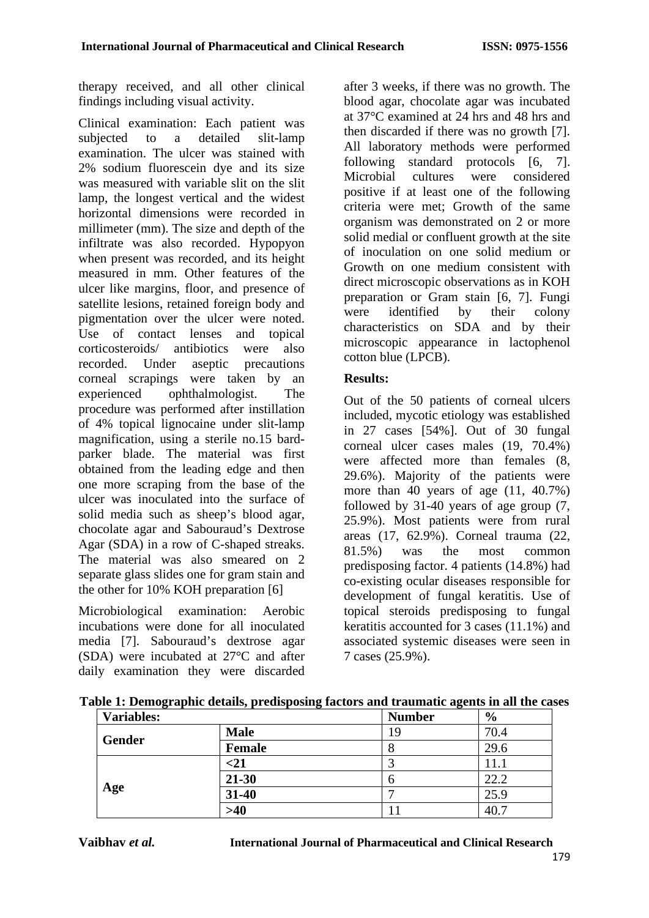therapy received, and all other clinical findings including visual activity.

Clinical examination: Each patient was subjected to a detailed slit-lamp examination. The ulcer was stained with 2% sodium fluorescein dye and its size was measured with variable slit on the slit lamp, the longest vertical and the widest horizontal dimensions were recorded in millimeter (mm). The size and depth of the infiltrate was also recorded. Hypopyon when present was recorded, and its height measured in mm. Other features of the ulcer like margins, floor, and presence of satellite lesions, retained foreign body and pigmentation over the ulcer were noted. Use of contact lenses and topical corticosteroids/ antibiotics were also recorded. Under aseptic precautions corneal scrapings were taken by an experienced ophthalmologist. The procedure was performed after instillation of 4% topical lignocaine under slit-lamp magnification, using a sterile no.15 bardparker blade. The material was first obtained from the leading edge and then one more scraping from the base of the ulcer was inoculated into the surface of solid media such as sheep's blood agar, chocolate agar and Sabouraud's Dextrose Agar (SDA) in a row of C-shaped streaks. The material was also smeared on 2 separate glass slides one for gram stain and the other for 10% KOH preparation [6]

Microbiological examination: Aerobic incubations were done for all inoculated media [7]. Sabouraud's dextrose agar (SDA) were incubated at 27°C and after daily examination they were discarded

after 3 weeks, if there was no growth. The blood agar, chocolate agar was incubated at 37°C examined at 24 hrs and 48 hrs and then discarded if there was no growth [7]. All laboratory methods were performed following standard protocols [6, 7]. Microbial cultures were considered positive if at least one of the following criteria were met; Growth of the same organism was demonstrated on 2 or more solid medial or confluent growth at the site of inoculation on one solid medium or Growth on one medium consistent with direct microscopic observations as in KOH preparation or Gram stain [6, 7]. Fungi were identified by their colony characteristics on SDA and by their microscopic appearance in lactophenol cotton blue (LPCB).

### **Results:**

Out of the 50 patients of corneal ulcers included, mycotic etiology was established in 27 cases [54%]. Out of 30 fungal corneal ulcer cases males (19, 70.4%) were affected more than females (8, 29.6%). Majority of the patients were more than 40 years of age (11, 40.7%) followed by 31-40 years of age group (7, 25.9%). Most patients were from rural areas (17, 62.9%). Corneal trauma (22, 81.5%) was the most common predisposing factor. 4 patients (14.8%) had co-existing ocular diseases responsible for development of fungal keratitis. Use of topical steroids predisposing to fungal keratitis accounted for 3 cases (11.1%) and associated systemic diseases were seen in 7 cases (25.9%).

| <b>Variables:</b> |               | <b>Number</b> | $\frac{6}{9}$ |
|-------------------|---------------|---------------|---------------|
|                   | <b>Male</b>   | 19            | 70.4          |
| <b>Gender</b>     | <b>Female</b> | О             | 29.6          |
| Age               | $<$ 21        |               | 11.1          |
|                   | $21 - 30$     | Ο             | 22.2          |
|                   | 31-40         |               | 25.9          |
|                   | $>40$         |               | 40.           |

**Table 1: Demographic details, predisposing factors and traumatic agents in all the cases**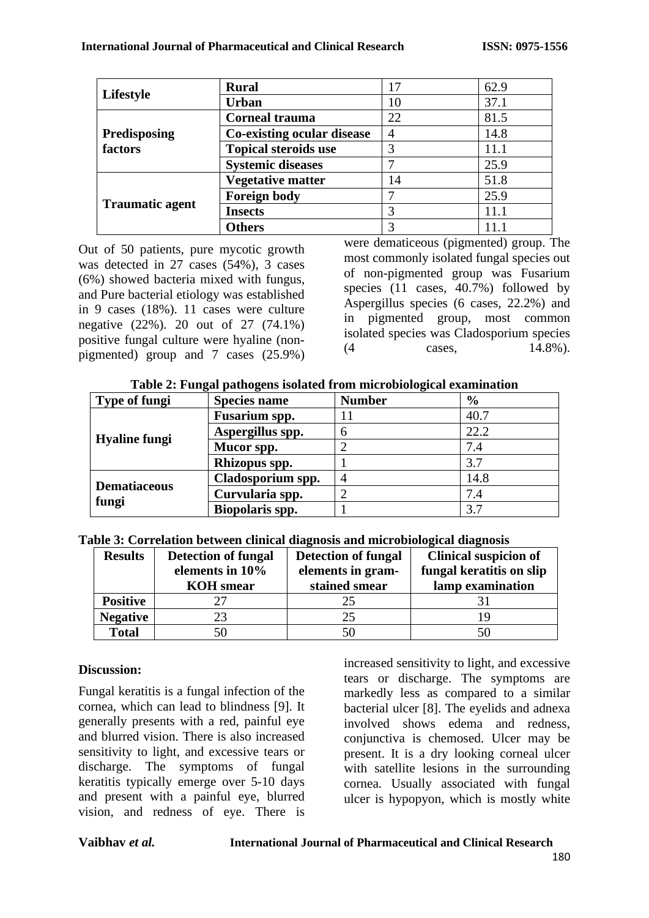|                        | <b>Rural</b>                | 17 | 62.9 |
|------------------------|-----------------------------|----|------|
| Lifestyle              | <b>Urban</b>                | 10 | 37.1 |
|                        | <b>Corneal trauma</b>       | 22 | 81.5 |
| Predisposing           | Co-existing ocular disease  | 4  | 14.8 |
| factors                | <b>Topical steroids use</b> | 3  | 11.1 |
|                        | <b>Systemic diseases</b>    |    | 25.9 |
|                        | <b>Vegetative matter</b>    | 14 | 51.8 |
|                        | <b>Foreign body</b>         |    | 25.9 |
| <b>Traumatic agent</b> | <b>Insects</b>              | 3  | 11.1 |
|                        | <b>Others</b>               |    |      |

Out of 50 patients, pure mycotic growth was detected in 27 cases (54%), 3 cases (6%) showed bacteria mixed with fungus, and Pure bacterial etiology was established in 9 cases (18%). 11 cases were culture negative (22%). 20 out of 27 (74.1%) positive fungal culture were hyaline (nonpigmented) group and 7 cases (25.9%)

were dematiceous (pigmented) group. The most commonly isolated fungal species out of non-pigmented group was Fusarium species (11 cases, 40.7%) followed by Aspergillus species (6 cases, 22.2%) and in pigmented group, most common isolated species was Cladosporium species (4 cases, 14.8%).

|  | Table 2: Fungal pathogens isolated from microbiological examination |  |
|--|---------------------------------------------------------------------|--|
|  |                                                                     |  |

| <b>Type of fungi</b> | <b>Species name</b> | <b>Number</b> | $\frac{6}{6}$ |
|----------------------|---------------------|---------------|---------------|
|                      | Fusarium spp.       |               | 40.7          |
|                      | Aspergillus spp.    | h             | 22.2          |
| <b>Hyaline fungi</b> | Mucor spp.          |               | 7.4           |
|                      | Rhizopus spp.       |               | 3.7           |
|                      | Cladosporium spp.   |               | 14.8          |
| <b>Dematiaceous</b>  | Curvularia spp.     |               | 7.4           |
| fungi                | Biopolaris spp.     |               | 3.7           |

| Table 3: Correlation between clinical diagnosis and microbiological diagnosis |  |  |  |
|-------------------------------------------------------------------------------|--|--|--|
|                                                                               |  |  |  |

| <b>Results</b>  | <b>Detection of fungal</b><br>elements in 10%<br><b>KOH</b> smear | <b>Detection of fungal</b><br>elements in gram-<br>stained smear | <b>Clinical suspicion of</b><br>fungal keratitis on slip<br>lamp examination |
|-----------------|-------------------------------------------------------------------|------------------------------------------------------------------|------------------------------------------------------------------------------|
| <b>Positive</b> |                                                                   | 25                                                               |                                                                              |
| <b>Negative</b> | 23                                                                |                                                                  | 19                                                                           |
| <b>Total</b>    | 50                                                                |                                                                  | 50                                                                           |

#### **Discussion:**

Fungal keratitis is a fungal infection of the cornea, which can lead to blindness [9]. It generally presents with a red, painful eye and blurred vision. There is also increased sensitivity to light, and excessive tears or discharge. The symptoms of fungal keratitis typically emerge over 5-10 days and present with a painful eye, blurred vision, and redness of eye. There is

increased sensitivity to light, and excessive tears or discharge. The symptoms are markedly less as compared to a similar bacterial ulcer [8]. The eyelids and adnexa involved shows edema and redness, conjunctiva is chemosed. Ulcer may be present. It is a dry looking corneal ulcer with satellite lesions in the surrounding cornea. Usually associated with fungal ulcer is hypopyon, which is mostly white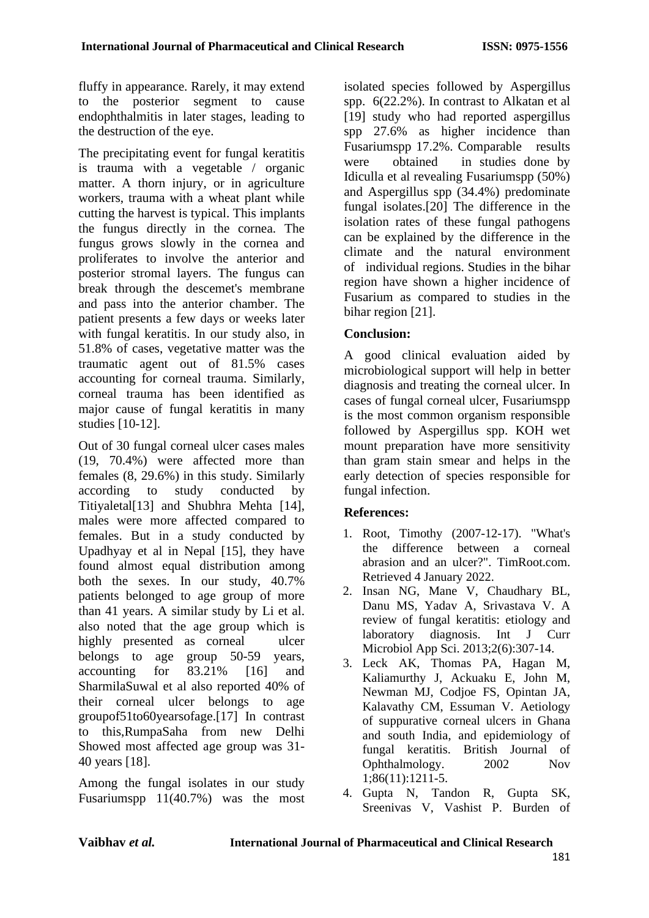fluffy in appearance. Rarely, it may extend to the posterior segment to cause endophthalmitis in later stages, leading to the destruction of the eye.

The precipitating event for fungal keratitis is trauma with a vegetable / organic matter. A thorn injury, or in agriculture workers, trauma with a wheat plant while cutting the harvest is typical. This implants the fungus directly in the cornea. The fungus grows slowly in the cornea and proliferates to involve the anterior and posterior stromal layers. The fungus can break through the descemet's membrane and pass into the anterior chamber. The patient presents a few days or weeks later with fungal keratitis. In our study also, in 51.8% of cases, vegetative matter was the traumatic agent out of 81.5% cases accounting for corneal trauma. Similarly, corneal trauma has been identified as major cause of fungal keratitis in many studies [10-12].

Out of 30 fungal corneal ulcer cases males (19, 70.4%) were affected more than females (8, 29.6%) in this study. Similarly according to study conducted by Titiyaletal[13] and Shubhra Mehta [14], males were more affected compared to females. But in a study conducted by Upadhyay et al in Nepal [15], they have found almost equal distribution among both the sexes. In our study, 40.7% patients belonged to age group of more than 41 years. A similar study by Li et al. also noted that the age group which is highly presented as corneal ulcer belongs to age group 50-59 years, accounting for 83.21% [16] and SharmilaSuwal et al also reported 40% of their corneal ulcer belongs to age groupof51to60yearsofage.[17] In contrast to this,RumpaSaha from new Delhi Showed most affected age group was 31- 40 years [18].

Among the fungal isolates in our study Fusariumspp 11(40.7%) was the most isolated species followed by Aspergillus spp. 6(22.2%). In contrast to Alkatan et al [19] study who had reported aspergillus spp 27.6% as higher incidence than Fusariumspp 17.2%. Comparable results were obtained in studies done by Idiculla et al revealing Fusariumspp (50%) and Aspergillus spp (34.4%) predominate fungal isolates.[20] The difference in the isolation rates of these fungal pathogens can be explained by the difference in the climate and the natural environment of individual regions. Studies in the bihar region have shown a higher incidence of Fusarium as compared to studies in the bihar region [21].

# **Conclusion:**

A good clinical evaluation aided by microbiological support will help in better diagnosis and treating the corneal ulcer. In cases of fungal corneal ulcer, Fusariumspp is the most common organism responsible followed by Aspergillus spp. KOH wet mount preparation have more sensitivity than gram stain smear and helps in the early detection of species responsible for fungal infection.

# **References:**

- 1. Root, Timothy (2007-12-17). "What's the difference between a corneal abrasion and an ulcer?". TimRoot.com. Retrieved 4 January 2022.
- 2. Insan NG, Mane V, Chaudhary BL, Danu MS, Yadav A, Srivastava V. A review of fungal keratitis: etiology and laboratory diagnosis. Int J Curr Microbiol App Sci. 2013;2(6):307-14.
- 3. Leck AK, Thomas PA, Hagan M, Kaliamurthy J, Ackuaku E, John M, Newman MJ, Codjoe FS, Opintan JA, Kalavathy CM, Essuman V. Aetiology of suppurative corneal ulcers in Ghana and south India, and epidemiology of fungal keratitis. British Journal of Ophthalmology. 2002 Nov 1;86(11):1211-5.
- 4. Gupta N, Tandon R, Gupta SK, Sreenivas V, Vashist P. Burden of